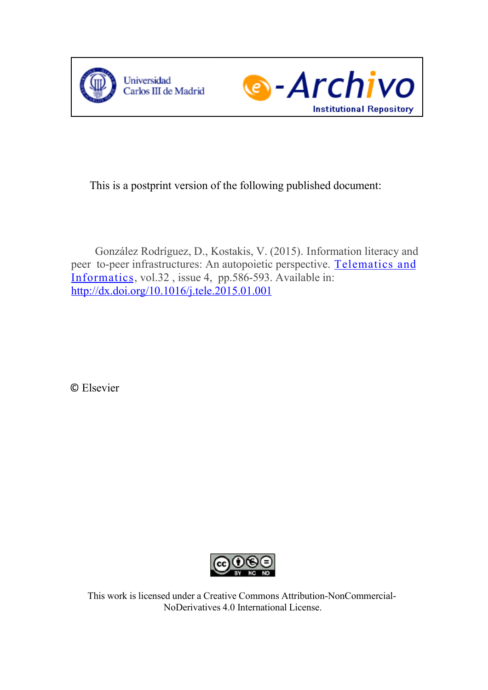



This is a postprint version of the following published document:

González Rodríguez, D., Kostakis, V. (2015). Information literacy and peer to-peer infrastructures: An autopoietic perspective. [Telematics and](http://www.journals.elsevier.com/telematics-and-informatics/)  [Informatics,](http://www.journals.elsevier.com/telematics-and-informatics/) vol.32 , issue 4, pp.586-593. Available in: <http://dx.doi.org/10.1016/j.tele.2015.01.001>

© Elsevier



This work is licensed under a Creative Commons Attribution-NonCommercial-NoDerivatives 4.0 International License.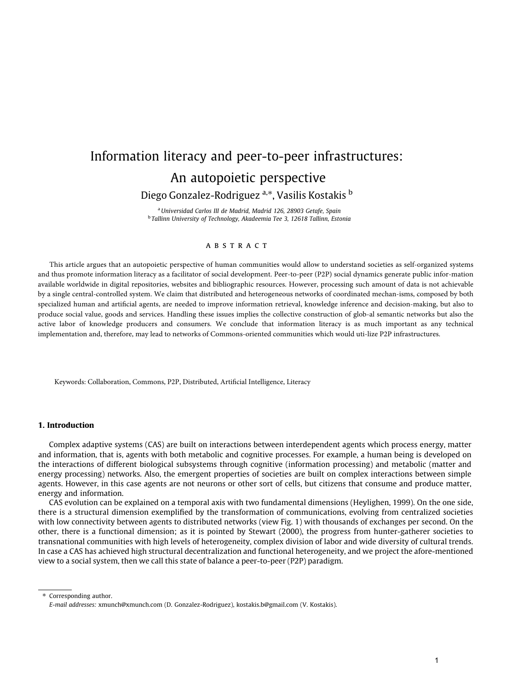# Information literacy and peer-to-peer infrastructures: An autopoietic perspective Diego Gonzalez-Rodriguez <sup>a,</sup>\*, Vasilis Kostakis <sup>b</sup>

<sup>a</sup> Universidad Carlos III de Madrid, Madrid 126, 28903 Getafe, Spain <sup>b</sup> Tallinn University of Technology, Akadeemia Tee 3, 12618 Tallinn, Estonia

## **ABSTRACT**

 This article argues that an autopoietic perspective of human communities would allow to understand societies as self-organized systems and thus promote information literacy as a facilitator of social development. Peer-to-peer (P2P) social dynamics generate public infor-mation available worldwide in digital repositories, websites and bibliographic resources. However, processing such amount of data is not achievable by a single central-controlled system. We claim that distributed and heterogeneous networks of coordinated mechan-isms, composed by both specialized human and artificial agents, are needed to improve information retrieval, knowledge inference and decision-making, but also to produce social value, goods and services. Handling these issues implies the collective construction of glob-al semantic networks but also the active labor of knowledge producers and consumers. We conclude that information literacy is as much important as any technical implementation and, therefore, may lead to networks of Commons-oriented communities which would uti-lize P2P infrastructures.

Keywords: Collaboration, Commons, P2P, Distributed, Artificial Intelligence, Literacy

#### 1. Introduction

Complex adaptive systems (CAS) are built on interactions between interdependent agents which process energy, matter and information, that is, agents with both metabolic and cognitive processes. For example, a human being is developed on the interactions of different biological subsystems through cognitive (information processing) and metabolic (matter and energy processing) networks. Also, the emergent properties of societies are built on complex interactions between simple agents. However, in this case agents are not neurons or other sort of cells, but citizens that consume and produce matter, energy and information.

CAS evolution can be explained on a temporal axis with two fundamental dimensions (Heylighen, 1999). On the one side, there is a structural dimension exemplified by the transformation of communications, evolving from centralized societies with low connectivity between agents to distributed networks (view Fig. 1) with thousands of exchanges per second. On the other, there is a functional dimension; as it is pointed by Stewart (2000), the progress from hunter-gatherer societies to transnational communities with high levels of heterogeneity, complex division of labor and wide diversity of cultural trends. In case a CAS has achieved high structural decentralization and functional heterogeneity, and we project the afore-mentioned view to a social system, then we call this state of balance a peer-to-peer (P2P) paradigm.

⇑ Corresponding author.

E-mail addresses: xmunch@xmunch.com (D. Gonzalez-Rodriguez), kostakis.b@gmail.com (V. Kostakis).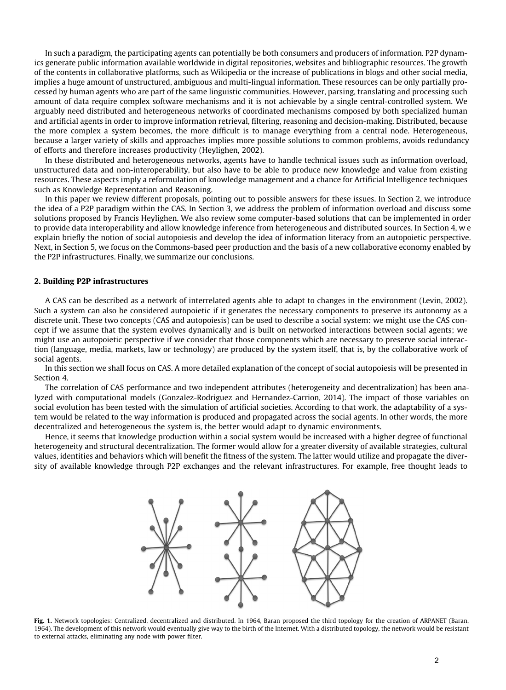In such a paradigm, the participating agents can potentially be both consumers and producers of information. P2P dynamics generate public information available worldwide in digital repositories, websites and bibliographic resources. The growth of the contents in collaborative platforms, such as Wikipedia or the increase of publications in blogs and other social media, implies a huge amount of unstructured, ambiguous and multi-lingual information. These resources can be only partially processed by human agents who are part of the same linguistic communities. However, parsing, translating and processing such amount of data require complex software mechanisms and it is not achievable by a single central-controlled system. We arguably need distributed and heterogeneous networks of coordinated mechanisms composed by both specialized human and artificial agents in order to improve information retrieval, filtering, reasoning and decision-making. Distributed, because the more complex a system becomes, the more difficult is to manage everything from a central node. Heterogeneous, because a larger variety of skills and approaches implies more possible solutions to common problems, avoids redundancy of efforts and therefore increases productivity (Heylighen, 2002).

In these distributed and heterogeneous networks, agents have to handle technical issues such as information overload, unstructured data and non-interoperability, but also have to be able to produce new knowledge and value from existing resources. These aspects imply a reformulation of knowledge management and a chance for Artificial Intelligence techniques such as Knowledge Representation and Reasoning.

In this paper we review different proposals, pointing out to possible answers for these issues. In Section 2, we introduce the idea of a P2P paradigm within the CAS. In Section 3, we address the problem of information overload and discuss some solutions proposed by Francis Heylighen. We also review some computer-based solutions that can be implemented in order to provide data interoperability and allow knowledge inference from heterogeneous and distributed sources. In Section 4, w e explain briefly the notion of social autopoiesis and develop the idea of information literacy from an autopoietic perspective. Next, in Section 5, we focus on the Commons-based peer production and the basis of a new collaborative economy enabled by the P2P infrastructures. Finally, we summarize our conclusions.

# 2. Building P2P infrastructures

A CAS can be described as a network of interrelated agents able to adapt to changes in the environment (Levin, 2002). Such a system can also be considered autopoietic if it generates the necessary components to preserve its autonomy as a discrete unit. These two concepts (CAS and autopoiesis) can be used to describe a social system: we might use the CAS concept if we assume that the system evolves dynamically and is built on networked interactions between social agents; we might use an autopoietic perspective if we consider that those components which are necessary to preserve social interaction (language, media, markets, law or technology) are produced by the system itself, that is, by the collaborative work of social agents.

In this section we shall focus on CAS. A more detailed explanation of the concept of social autopoiesis will be presented in Section 4.

The correlation of CAS performance and two independent attributes (heterogeneity and decentralization) has been analyzed with computational models (Gonzalez-Rodriguez and Hernandez-Carrion, 2014). The impact of those variables on social evolution has been tested with the simulation of artificial societies. According to that work, the adaptability of a system would be related to the way information is produced and propagated across the social agents. In other words, the more decentralized and heterogeneous the system is, the better would adapt to dynamic environments.

Hence, it seems that knowledge production within a social system would be increased with a higher degree of functional heterogeneity and structural decentralization. The former would allow for a greater diversity of available strategies, cultural values, identities and behaviors which will benefit the fitness of the system. The latter would utilize and propagate the diversity of available knowledge through P2P exchanges and the relevant infrastructures. For example, free thought leads to



Fig. 1. Network topologies: Centralized, decentralized and distributed. In 1964, Baran proposed the third topology for the creation of ARPANET (Baran, 1964). The development of this network would eventually give way to the birth of the Internet. With a distributed topology, the network would be resistant to external attacks, eliminating any node with power filter.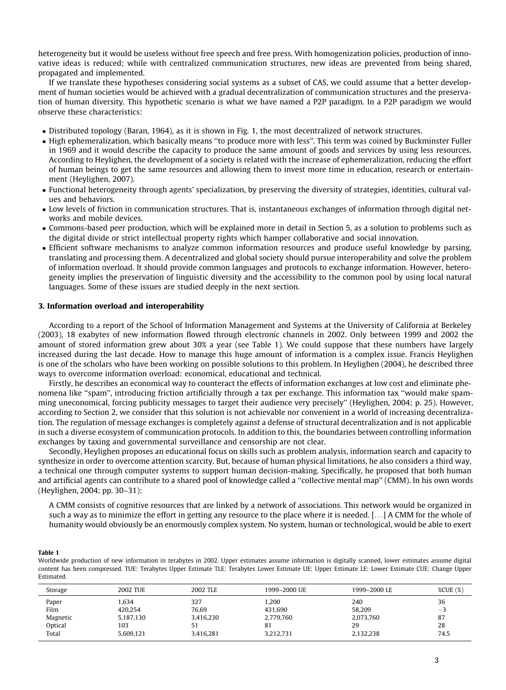heterogeneity but it would be useless without free speech and free press. With homogenization policies, production of innovative ideas is reduced; while with centralized communication structures, new ideas are prevented from being shared, propagated and implemented.

If we translate these hypotheses considering social systems as a subset of CAS, we could assume that a better development of human societies would be achieved with a gradual decentralization of communication structures and the preservation of human diversity. This hypothetic scenario is what we have named a P2P paradigm. In a P2P paradigm we would observe these characteristics:

- Distributed topology (Baran, 1964), as it is shown in Fig. 1, the most decentralized of network structures.
- High ephemeralization, which basically means ''to produce more with less''. This term was coined by Buckminster Fuller in 1969 and it would describe the capacity to produce the same amount of goods and services by using less resources. According to Heylighen, the development of a society is related with the increase of ephemeralization, reducing the effort of human beings to get the same resources and allowing them to invest more time in education, research or entertainment (Heylighen, 2007).
- Functional heterogeneity through agents' specialization, by preserving the diversity of strategies, identities, cultural values and behaviors.
- Low levels of friction in communication structures. That is, instantaneous exchanges of information through digital networks and mobile devices.
- Commons-based peer production, which will be explained more in detail in Section 5, as a solution to problems such as the digital divide or strict intellectual property rights which hamper collaborative and social innovation.
- Efficient software mechanisms to analyze common information resources and produce useful knowledge by parsing, translating and processing them. A decentralized and global society should pursue interoperability and solve the problem of information overload. It should provide common languages and protocols to exchange information. However, heterogeneity implies the preservation of linguistic diversity and the accessibility to the common pool by using local natural languages. Some of these issues are studied deeply in the next section.

## 3. Information overload and interoperability

According to a report of the School of Information Management and Systems at the University of California at Berkeley (2003), 18 exabytes of new information flowed through electronic channels in 2002. Only between 1999 and 2002 the amount of stored information grew about 30% a year (see Table 1). We could suppose that these numbers have largely increased during the last decade. How to manage this huge amount of information is a complex issue. Francis Heylighen is one of the scholars who have been working on possible solutions to this problem. In Heylighen (2004), he described three ways to overcome information overload: economical, educational and technical.

Firstly, he describes an economical way to counteract the effects of information exchanges at low cost and eliminate phenomena like ''spam'', introducing friction artificially through a tax per exchange. This information tax ''would make spamming uneconomical, forcing publicity messages to target their audience very precisely'' (Heylighen, 2004; p. 25). However, according to Section 2, we consider that this solution is not achievable nor convenient in a world of increasing decentralization. The regulation of message exchanges is completely against a defense of structural decentralization and is not applicable in such a diverse ecosystem of communication protocols. In addition to this, the boundaries between controlling information exchanges by taxing and governmental surveillance and censorship are not clear.

Secondly, Heylighen proposes an educational focus on skills such as problem analysis, information search and capacity to synthesize in order to overcome attention scarcity. But, because of human physical limitations, he also considers a third way, a technical one through computer systems to support human decision-making. Specifically, he proposed that both human and artificial agents can contribute to a shared pool of knowledge called a ''collective mental map'' (CMM). In his own words (Heylighen, 2004; pp. 30–31):

A CMM consists of cognitive resources that are linked by a network of associations. This network would be organized in such a way as to minimize the effort in getting any resource to the place where it is needed. [...] A CMM for the whole of humanity would obviously be an enormously complex system. No system, human or technological, would be able to exert

#### Table 1

Worldwide production of new information in terabytes in 2002. Upper estimates assume information is digitally scanned, lower estimates assume digital content has been compressed. TUE: Terabytes Upper Estimate TLE: Terabytes Lower Estimate UE: Upper Estimate LE: Lower Estimate CUE: Change Upper Estimated.

| Storage  | 2002 TUE  | 2002 TLE  | 1999-2000 UE | 1999-2000 LE | % CUE (%) |
|----------|-----------|-----------|--------------|--------------|-----------|
| Paper    | 1.634     | 327       | ,200         | 240          | 36        |
| Film     | 420.254   | 76.69     | 431.690      | 58.209       | $-3$      |
| Magnetic | 5.187.130 | 3.416.230 | 2.779.760    | 2.073.760    | 87        |
| Optical  | 103       |           | 81           | 29           | 28        |
| Total    | 5.609.121 | 3.416.281 | 3,212,731    | 2,132,238    | 74.5      |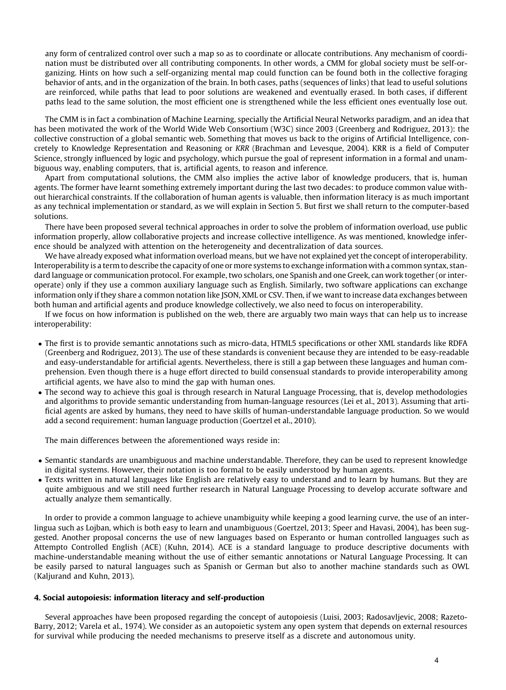any form of centralized control over such a map so as to coordinate or allocate contributions. Any mechanism of coordination must be distributed over all contributing components. In other words, a CMM for global society must be self-organizing. Hints on how such a self-organizing mental map could function can be found both in the collective foraging behavior of ants, and in the organization of the brain. In both cases, paths (sequences of links) that lead to useful solutions are reinforced, while paths that lead to poor solutions are weakened and eventually erased. In both cases, if different paths lead to the same solution, the most efficient one is strengthened while the less efficient ones eventually lose out.

The CMM is in fact a combination of Machine Learning, specially the Artificial Neural Networks paradigm, and an idea that has been motivated the work of the World Wide Web Consortium (W3C) since 2003 (Greenberg and Rodriguez, 2013): the collective construction of a global semantic web. Something that moves us back to the origins of Artificial Intelligence, concretely to Knowledge Representation and Reasoning or KRR (Brachman and Levesque, 2004). KRR is a field of Computer Science, strongly influenced by logic and psychology, which pursue the goal of represent information in a formal and unambiguous way, enabling computers, that is, artificial agents, to reason and inference.

Apart from computational solutions, the CMM also implies the active labor of knowledge producers, that is, human agents. The former have learnt something extremely important during the last two decades: to produce common value without hierarchical constraints. If the collaboration of human agents is valuable, then information literacy is as much important as any technical implementation or standard, as we will explain in Section 5. But first we shall return to the computer-based solutions.

There have been proposed several technical approaches in order to solve the problem of information overload, use public information properly, allow collaborative projects and increase collective intelligence. As was mentioned, knowledge inference should be analyzed with attention on the heterogeneity and decentralization of data sources.

We have already exposed what information overload means, but we have not explained yet the concept of interoperability. Interoperability is a term to describe the capacity of one or more systems to exchange information with a common syntax, standard language or communication protocol. For example, two scholars, one Spanish and one Greek, can work together (or interoperate) only if they use a common auxiliary language such as English. Similarly, two software applications can exchange information only if they share a common notation like JSON, XML or CSV. Then, if we want to increase data exchanges between both human and artificial agents and produce knowledge collectively, we also need to focus on interoperability.

If we focus on how information is published on the web, there are arguably two main ways that can help us to increase interoperability:

- The first is to provide semantic annotations such as micro-data, HTML5 specifications or other XML standards like RDFA (Greenberg and Rodriguez, 2013). The use of these standards is convenient because they are intended to be easy-readable and easy-understandable for artificial agents. Nevertheless, there is still a gap between these languages and human comprehension. Even though there is a huge effort directed to build consensual standards to provide interoperability among artificial agents, we have also to mind the gap with human ones.
- The second way to achieve this goal is through research in Natural Language Processing, that is, develop methodologies and algorithms to provide semantic understanding from human-language resources (Lei et al., 2013). Assuming that artificial agents are asked by humans, they need to have skills of human-understandable language production. So we would add a second requirement: human language production (Goertzel et al., 2010).

The main differences between the aforementioned ways reside in:

- Semantic standards are unambiguous and machine understandable. Therefore, they can be used to represent knowledge in digital systems. However, their notation is too formal to be easily understood by human agents.
- Texts written in natural languages like English are relatively easy to understand and to learn by humans. But they are quite ambiguous and we still need further research in Natural Language Processing to develop accurate software and actually analyze them semantically.

In order to provide a common language to achieve unambiguity while keeping a good learning curve, the use of an interlingua such as Lojban, which is both easy to learn and unambiguous (Goertzel, 2013; Speer and Havasi, 2004), has been suggested. Another proposal concerns the use of new languages based on Esperanto or human controlled languages such as Attempto Controlled English (ACE) (Kuhn, 2014). ACE is a standard language to produce descriptive documents with machine-understandable meaning without the use of either semantic annotations or Natural Language Processing. It can be easily parsed to natural languages such as Spanish or German but also to another machine standards such as OWL (Kaljurand and Kuhn, 2013).

## 4. Social autopoiesis: information literacy and self-production

Several approaches have been proposed regarding the concept of autopoiesis (Luisi, 2003; Radosavljevic, 2008; Razeto-Barry, 2012; Varela et al., 1974). We consider as an autopoietic system any open system that depends on external resources for survival while producing the needed mechanisms to preserve itself as a discrete and autonomous unity.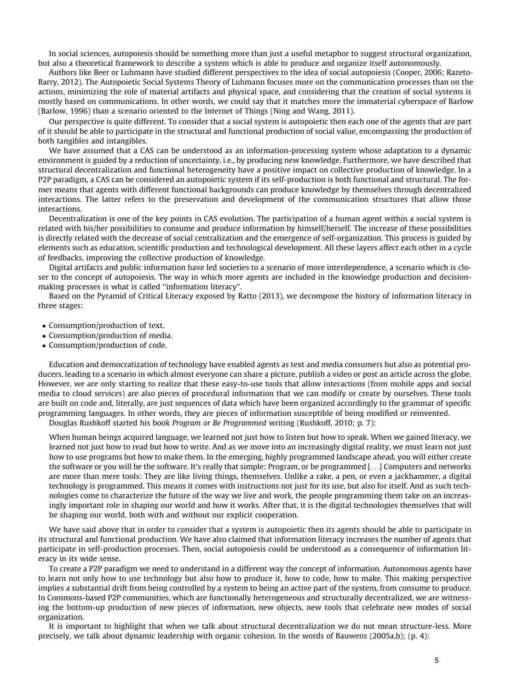In social sciences, autopoiesis should be something more than just a useful metaphor to suggest structural organization, but also a theoretical framework to describe a system which is able to produce and organize itself autonomously.

Authors like Beer or Luhmann have studied different perspectives to the idea of social autopoiesis (Cooper, 2006; Razeto-Barry, 2012). The Autopoietic Social Systems Theory of Luhmann focuses more on the communication processes than on the actions, minimizing the role of material artifacts and physical space, and considering that the creation of social systems is mostly based on communications. In other words, we could say that it matches more the immaterial cyberspace of Barlow (Barlow, 1996) than a scenario oriented to the Internet of Things (Ning and Wang, 2011).

Our perspective is quite different. To consider that a social system is autopoietic then each one of the agents that are part of it should be able to participate in the structural and functional production of social value, encompassing the production of both tangibles and intangibles.

We have assumed that a CAS can be understood as an information-processing system whose adaptation to a dynamic environment is guided by a reduction of uncertainty, i.e., by producing new knowledge. Furthermore, we have described that structural decentralization and functional heterogeneity have a positive impact on collective production of knowledge. In a P2P paradigm, a CAS can be considered an autopoietic system if its self-production is both functional and structural. The former means that agents with different functional backgrounds can produce knowledge by themselves through decentralized interactions. The latter refers to the preservation and development of the communication structures that allow those interactions.

Decentralization is one of the key points in CAS evolution. The participation of a human agent within a social system is related with his/her possibilities to consume and produce information by himself/herself. The increase of these possibilities is directly related with the decrease of social centralization and the emergence of self-organization. This process is guided by elements such as education, scientific production and technological development. All these layers affect each other in a cycle of feedbacks, improving the collective production of knowledge.

Digital artifacts and public information have led societies to a scenario of more interdependence, a scenario which is closer to the concept of autopoiesis. The way in which more agents are included in the knowledge production and decisionmaking processes is what is called ''information literacy''.

Based on the Pyramid of Critical Literacy exposed by Ratto (2013), we decompose the history of information literacy in three stages:

- Consumption/production of text.
- Consumption/production of media.
- Consumption/production of code.

Education and democratization of technology have enabled agents as text and media consumers but also as potential producers, leading to a scenario in which almost everyone can share a picture, publish a video or post an article across the globe. However, we are only starting to realize that these easy-to-use tools that allow interactions (from mobile apps and social media to cloud services) are also pieces of procedural information that we can modify or create by ourselves. These tools are built on code and, literally, are just sequences of data which have been organized accordingly to the grammar of specific programming languages. In other words, they are pieces of information susceptible of being modified or reinvented.

Douglas Rushkoff started his book Program or Be Programmed writing (Rushkoff, 2010; p. 7):

When human beings acquired language, we learned not just how to listen but how to speak. When we gained literacy, we learned not just how to read but how to write. And as we move into an increasingly digital reality, we must learn not just how to use programs but how to make them. In the emerging, highly programmed landscape ahead, you will either create the software or you will be the software. It's really that simple: Program, or be programmed [...] Computers and networks are more than mere tools: They are like living things, themselves. Unlike a rake, a pen, or even a jackhammer, a digital technology is programmed. This means it comes with instructions not just for its use, but also for itself. And as such technologies come to characterize the future of the way we live and work, the people programming them take on an increasingly important role in shaping our world and how it works. After that, it is the digital technologies themselves that will be shaping our world, both with and without our explicit cooperation.

We have said above that in order to consider that a system is autopoietic then its agents should be able to participate in its structural and functional production. We have also claimed that information literacy increases the number of agents that participate in self-production processes. Then, social autopoiesis could be understood as a consequence of information literacy in its wide sense.

To create a P2P paradigm we need to understand in a different way the concept of information. Autonomous agents have to learn not only how to use technology but also how to produce it, how to code, how to make. This making perspective implies a substantial drift from being controlled by a system to being an active part of the system, from consume to produce. In Commons-based P2P communities, which are functionally heterogeneous and structurally decentralized, we are witnessing the bottom-up production of new pieces of information, new objects, new tools that celebrate new modes of social organization.

It is important to highlight that when we talk about structural decentralization we do not mean structure-less. More precisely, we talk about dynamic leadership with organic cohesion. In the words of Bauwens (2005a,b); (p. 4):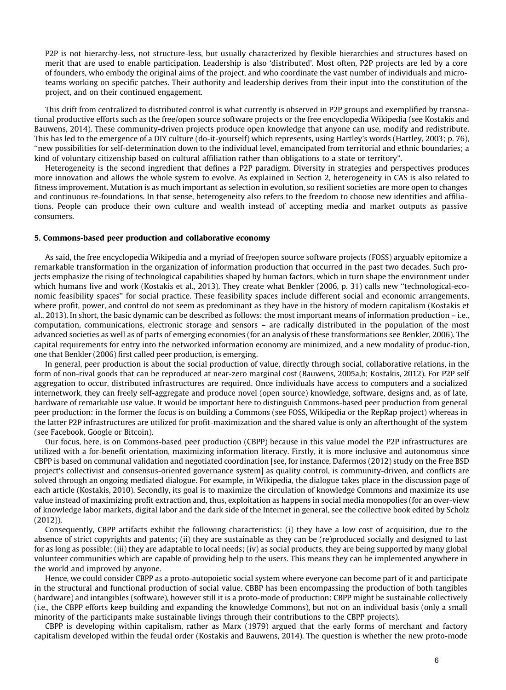P2P is not hierarchy-less, not structure-less, but usually characterized by flexible hierarchies and structures based on merit that are used to enable participation. Leadership is also 'distributed'. Most often, P2P projects are led by a core of founders, who embody the original aims of the project, and who coordinate the vast number of individuals and microteams working on specific patches. Their authority and leadership derives from their input into the constitution of the project, and on their continued engagement.

This drift from centralized to distributed control is what currently is observed in P2P groups and exemplified by transnational productive efforts such as the free/open source software projects or the free encyclopedia Wikipedia (see Kostakis and Bauwens, 2014). These community-driven projects produce open knowledge that anyone can use, modify and redistribute. This has led to the emergence of a DIY culture (do-it-yourself) which represents, using Hartley's words (Hartley, 2003; p. 76), ''new possibilities for self-determination down to the individual level, emancipated from territorial and ethnic boundaries; a kind of voluntary citizenship based on cultural affiliation rather than obligations to a state or territory''.

Heterogeneity is the second ingredient that defines a P2P paradigm. Diversity in strategies and perspectives produces more innovation and allows the whole system to evolve. As explained in Section 2, heterogeneity in CAS is also related to fitness improvement. Mutation is as much important as selection in evolution, so resilient societies are more open to changes and continuous re-foundations. In that sense, heterogeneity also refers to the freedom to choose new identities and affiliations. People can produce their own culture and wealth instead of accepting media and market outputs as passive consumers.

#### 5. Commons-based peer production and collaborative economy

As said, the free encyclopedia Wikipedia and a myriad of free/open source software projects (FOSS) arguably epitomize a remarkable transformation in the organization of information production that occurred in the past two decades. Such projects emphasize the rising of technological capabilities shaped by human factors, which in turn shape the environment under which humans live and work (Kostakis et al., 2013). They create what Benkler (2006, p. 31) calls new "technological-economic feasibility spaces'' for social practice. These feasibility spaces include different social and economic arrangements, where profit, power, and control do not seem as predominant as they have in the history of modern capitalism (Kostakis et al., 2013). In short, the basic dynamic can be described as follows: the most important means of information production – i.e., computation, communications, electronic storage and sensors – are radically distributed in the population of the most advanced societies as well as of parts of emerging economies (for an analysis of these transformations see Benkler, 2006). The capital requirements for entry into the networked information economy are minimized, and a new modality of produc-tion, one that Benkler (2006) first called peer production, is emerging.

In general, peer production is about the social production of value, directly through social, collaborative relations, in the form of non-rival goods that can be reproduced at near-zero marginal cost (Bauwens, 2005a,b; Kostakis, 2012). For P2P self aggregation to occur, distributed infrastructures are required. Once individuals have access to computers and a socialized internetwork, they can freely self-aggregate and produce novel (open source) knowledge, software, designs and, as of late, hardware of remarkable use value. It would be important here to distinguish Commons-based peer production from general peer production: in the former the focus is on building a Commons (see FOSS, Wikipedia or the RepRap project) whereas in the latter P2P infrastructures are utilized for profit-maximization and the shared value is only an afterthought of the system (see Facebook, Google or Bitcoin).

Our focus, here, is on Commons-based peer production (CBPP) because in this value model the P2P infrastructures are utilized with a for-benefit orientation, maximizing information literacy. Firstly, it is more inclusive and autonomous since CBPP is based on communal validation and negotiated coordination [see, for instance, Dafermos (2012) study on the Free BSD project's collectivist and consensus-oriented governance system] as quality control, is community-driven, and conflicts are solved through an ongoing mediated dialogue. For example, in Wikipedia, the dialogue takes place in the discussion page of each article (Kostakis, 2010). Secondly, its goal is to maximize the circulation of knowledge Commons and maximize its use value instead of maximizing profit extraction and, thus, exploitation as happens in social media monopolies (for an over-view of knowledge labor markets, digital labor and the dark side of the Internet in general, see the collective book edited by Scholz (2012)).

Consequently, CBPP artifacts exhibit the following characteristics: (i) they have a low cost of acquisition, due to the absence of strict copyrights and patents; (ii) they are sustainable as they can be (re)produced socially and designed to last for as long as possible; (iii) they are adaptable to local needs; (iv) as social products, they are being supported by many global volunteer communities which are capable of providing help to the users. This means they can be implemented anywhere in the world and improved by anyone.

Hence, we could consider CBPP as a proto-autopoietic social system where everyone can become part of it and participate in the structural and functional production of social value. CBBP has been encompassing the production of both tangibles (hardware) and intangibles (software), however still it is a proto-mode of production: CBPP might be sustainable collectively (i.e., the CBPP efforts keep building and expanding the knowledge Commons), but not on an individual basis (only a small minority of the participants make sustainable livings through their contributions to the CBPP projects).

CBPP is developing within capitalism, rather as Marx (1979) argued that the early forms of merchant and factory capitalism developed within the feudal order (Kostakis and Bauwens, 2014). The question is whether the new proto-mode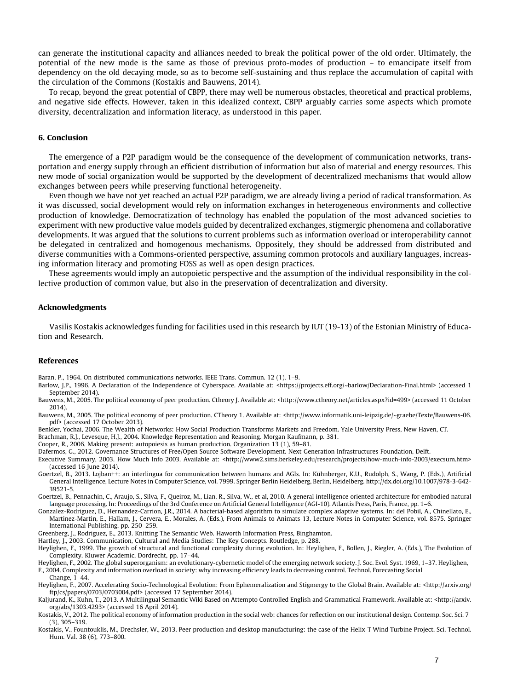can generate the institutional capacity and alliances needed to break the political power of the old order. Ultimately, the potential of the new mode is the same as those of previous proto-modes of production – to emancipate itself from dependency on the old decaying mode, so as to become self-sustaining and thus replace the accumulation of capital with the circulation of the Commons (Kostakis and Bauwens, 2014).

To recap, beyond the great potential of CBPP, there may well be numerous obstacles, theoretical and practical problems, and negative side effects. However, taken in this idealized context, CBPP arguably carries some aspects which promote diversity, decentralization and information literacy, as understood in this paper.

#### 6. Conclusion

The emergence of a P2P paradigm would be the consequence of the development of communication networks, transportation and energy supply through an efficient distribution of information but also of material and energy resources. This new mode of social organization would be supported by the development of decentralized mechanisms that would allow exchanges between peers while preserving functional heterogeneity.

Even though we have not yet reached an actual P2P paradigm, we are already living a period of radical transformation. As it was discussed, social development would rely on information exchanges in heterogeneous environments and collective production of knowledge. Democratization of technology has enabled the population of the most advanced societies to experiment with new productive value models guided by decentralized exchanges, stigmergic phenomena and collaborative developments. It was argued that the solutions to current problems such as information overload or interoperability cannot be delegated in centralized and homogenous mechanisms. Oppositely, they should be addressed from distributed and diverse communities with a Commons-oriented perspective, assuming common protocols and auxiliary languages, increasing information literacy and promoting FOSS as well as open design practices.

These agreements would imply an autopoietic perspective and the assumption of the individual responsibility in the collective production of common value, but also in the preservation of decentralization and diversity.

#### Acknowledgments

Vasilis Kostakis acknowledges funding for facilities used in this research by IUT (19-13) of the Estonian Ministry of Education and Research.

#### References

Baran, P., 1964. On distributed communications networks. IEEE Trans. Commun. 12 (1), 1–9.

- Barlow, J.P., 1996. A Declaration of the Independence of Cyberspace. Available at: <https://projects.eff.org/~barlow/Declaration-Final.html> (accessed 1 September 2014).
- Bauwens, M., 2005. The political economy of peer production. Ctheory J. Available at: <http://www.ctheory.net/articles.aspx?id=499> (accessed 11 October 2014).
- Bauwens, M., 2005. The political economy of peer production. CTheory 1. Available at: <http://www.informatik.uni-leipzig.de/~graebe/Texte/Bauwens-06. pdf> (accessed 17 October 2013).
- Benkler, Yochai, 2006. The Wealth of Networks: How Social Production Transforms Markets and Freedom. Yale University Press, New Haven, CT.
- Brachman, R.J., Levesque, H.J., 2004. Knowledge Representation and Reasoning. Morgan Kaufmann, p. 381.
- Cooper, R., 2006. Making present: autopoiesis as human production. Organization 13 (1), 59–81.
- Dafermos, G., 2012. Governance Structures of Free/Open Source Software Development. Next Generation Infrastructures Foundation, Delft.
- Executive Summary, 2003. How Much Info 2003. Available at: <http://www2.sims.berkeley.edu/research/projects/how-much-info-2003/execsum.htm> (accessed 16 June 2014).
- Goertzel, B., 2013. Lojban++: an interlingua for communication between humans and AGIs. In: Kühnberger, K.U., Rudolph, S., Wang, P. (Eds.), Artificial General Intelligence, Lecture Notes in Computer Science, vol. 7999. Springer Berlin Heidelberg, Berlin, Heidelberg. http://dx.doi.org/10.1007/978-3-642- 39521-5.
- Goertzel, B., Pennachin, C., Araujo, S., Silva, F., Queiroz, M., Lian, R., Silva, W., et al, 2010. A general intelligence oriented architecture for embodied natural language processing. In: Proceedings of the 3rd Conference on Artificial General Intelligence (AGI-10). Atlantis Press, Paris, France, pp. 1–6.
- Gonzalez-Rodriguez, D., Hernandez-Carrion, J.R., 2014. A bacterial-based algorithm to simulate complex adaptive systems. In: del Pobil, A., Chinellato, E., Martinez-Martin, E., Hallam, J., Cervera, E., Morales, A. (Eds.), From Animals to Animats 13, Lecture Notes in Computer Science, vol. 8575. Springer International Publishing, pp. 250–259.
- Greenberg, J., Rodriguez, E., 2013. Knitting The Semantic Web. Haworth Information Press, Binghamton.
- Hartley, J., 2003. Communication, Cultural and Media Studies: The Key Concepts. Routledge, p. 288. Heylighen, F., 1999. The growth of structural and functional complexity during evolution. In: Heylighen, F., Bollen, J., Riegler, A. (Eds.), The Evolution of
- Complexity. Kluwer Academic, Dordrecht, pp. 17–44.
- Heylighen, F., 2002. The global superorganism: an evolutionary-cybernetic model of the emerging network society. J. Soc. Evol. Syst. 1969, 1–37. Heylighen, F., 2004. Complexity and information overload in society: why increasing efficiency leads to decreasing control. Technol. Forecasting Social Change, 1–44.
- Heylighen, F., 2007. Accelerating Socio-Technological Evolution: From Ephemeralization and Stigmergy to the Global Brain. Available at: <http://arxiv.org/ ftp/cs/papers/0703/0703004.pdf> (accessed 17 September 2014).
- Kaljurand, K., Kuhn, T., 2013. A Multilingual Semantic Wiki Based on Attempto Controlled English and Grammatical Framework. Available at: <http://arxiv. org/abs/1303.4293> (accessed 16 April 2014).
- Kostakis, V., 2012. The political economy of information production in the social web: chances for reflection on our institutional design. Contemp. Soc. Sci. 7 (3), 305–319.
- Kostakis, V., Fountouklis, M., Drechsler, W., 2013. Peer production and desktop manufacturing: the case of the Helix-T Wind Turbine Project. Sci. Technol. Hum. Val. 38 (6), 773–800.